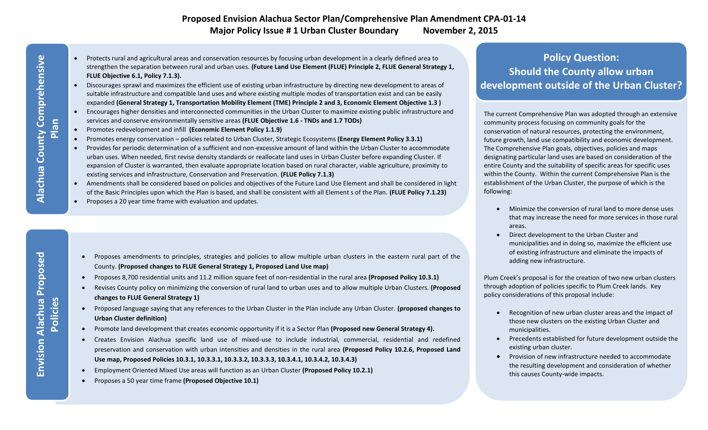### **Proposed Envision Alachua Sector Plan/Comprehensive Plan Amendment CPA-01-14 Major Policy Issue # 1 Urban Cluster Boundary November 2, 2015**

- Protects rural and agricultural areas and conservation resources by focusing urban development in a clearly defined area to strengthen the separation between rural and urban uses. **(Future Land Use Element (FLUE) Principle 2, FLUE General Strategy 1, FLUE Objective 6.1, Policy 7.1.3).**
- Discourages sprawl and maximizes the efficient use of existing urban infrastructure by directing new development to areas of suitable infrastructure and compatible land uses and where existing multiple modes of transportation exist and can be easily expanded **(General Strategy 1, Transportation Mobility Element (TME) Principle 2 and 3, Economic Element Objective 1.3 )**
- Encourages higher densities and interconnected communities in the Urban Cluster to maximize existing public infrastructure and services and conserve environmentally sensitive areas **(FLUE Objective 1.6 - TNDs and 1.7 TODs)**
- Promotes redevelopment and infill **(Economic Element Policy 1.1.9)**
- Promotes energy conservation policies related to Urban Cluster, Strategic Ecosystems **(Energy Element Policy 3.3.1)**
- Provides for periodic determination of a sufficient and non-excessive amount of land within the Urban Cluster to accommodate urban uses. When needed, first revise density standards or reallocate land uses in Urban Cluster before expanding Cluster. If expansion of Cluster is warranted, then evaluate appropriate location based on rural character, viable agriculture, proximity to existing services and infrastructure, Conservation and Preservation. **(FLUE Policy 7.1.3)**
- Amendments shall be considered based on policies and objectives of the Future Land Use Element and shall be considered in light of the Basic Principles upon which the Plan is based, and shall be consistent with all Element s of the Plan. **(FLUE Policy 7.1.23)**
- Proposes a 20 year time frame with evaluation and updates.

- Proposes amendments to principles, strategies and policies to allow multiple urban clusters in the eastern rural part of the County. **(Proposed changes to FLUE General Strategy 1, Proposed Land Use map)**
	- Proposes 8,700 residential units and 11.2 million square feet of non-residential in the rural area **(Proposed Policy 10.3.1)**
- Revises County policy on minimizing the conversion of rural land to urban uses and to allow multiple Urban Clusters. **(Proposed changes to FLUE General Strategy 1)**
- Proposed language saying that any references to the Urban Cluster in the Plan include any Urban Cluster. **(proposed changes to Urban Cluster definition)**
- Promote land development that creates economic opportunity if it is a Sector Plan **(Proposed new General Strategy 4).**
- Creates Envision Alachua specific land use of mixed-use to include industrial, commercial, residential and redefined preservation and conservation with urban intensities and densities in the rural area **(Proposed Policy 10.2.6, Proposed Land Use map, Proposed Policies 10.3.1, 10.3.3.1, 10.3.3.2, 10.3.3.3, 10.3.4.1, 10.3.4.2, 10.3.4.3)**
- Employment Oriented Mixed Use areas will function as an Urban Cluster **(Proposed Policy 10.2.1)**
- Proposes a 50 year time frame **(Proposed Objective 10.1)**

### **Policy Question: Should the County allow urban development outside of the Urban Cluster?**

The current Comprehensive Plan was adopted through an extensive community process focusing on community goals for the conservation of natural resources, protecting the environment, future growth, land use compatibility and economic development. The Comprehensive Plan goals, objectives, policies and maps designating particular land uses are based on consideration of the entire County and the suitability of specific areas for specific uses within the County. Within the current Comprehensive Plan is the establishment of the Urban Cluster, the purpose of which is the following:

- Minimize the conversion of rural land to more dense uses that may increase the need for more services in those rural areas.
- Direct development to the Urban Cluster and municipalities and in doing so, maximize the efficient use of existing infrastructure and eliminate the impacts of adding new infrastructure.

Plum Creek's proposal is for the creation of two new urban clusters through adoption of policies specific to Plum Creek lands. Key policy considerations of this proposal include:

- Recognition of new urban cluster areas and the impact of those new clusters on the existing Urban Cluster and municipalities.
- Precedents established for future development outside the existing urban cluster.
- Provision of new infrastructure needed to accommodate the resulting development and consideration of whether this causes County-wide impacts.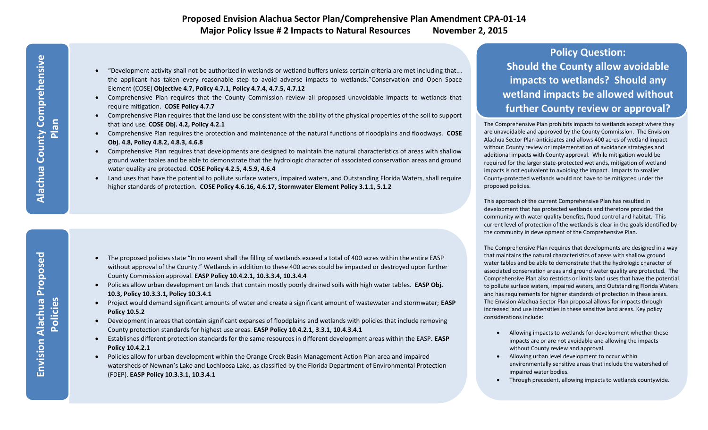#### **Proposed Envision Alachua Sector Plan/Comprehensive Plan Amendment CPA-01-14 Major Policy Issue # 2 Impacts to Natural Resources November 2, 2015**

- "Development activity shall not be authorized in wetlands or wetland buffers unless certain criteria are met including that... the applicant has taken every reasonable step to avoid adverse impacts to wetlands."Conservation and Open Space Element (COSE) **Objective 4.7, Policy 4.7.1, Policy 4.7.4, 4.7.5, 4.7.12**
- Comprehensive Plan requires that the County Commission review all proposed unavoidable impacts to wetlands that require mitigation. **COSE Policy 4.7.7**
- Comprehensive Plan requires that the land use be consistent with the ability of the physical properties of the soil to support that land use. **COSE Obj. 4.2, Policy 4.2.1**
- Comprehensive Plan requires the protection and maintenance of the natural functions of floodplains and floodways. **COSE Obj. 4.8, Policy 4.8.2, 4.8.3, 4.6.8**
- Comprehensive Plan requires that developments are designed to maintain the natural characteristics of areas with shallow ground water tables and be able to demonstrate that the hydrologic character of associated conservation areas and ground water quality are protected. **COSE Policy 4.2.5, 4.5.9, 4.6.4**
- Land uses that have the potential to pollute surface waters, impaired waters, and Outstanding Florida Waters, shall require higher standards of protection. **COSE Policy 4.6.16, 4.6.17, Stormwater Element Policy 3.1.1, 5.1.2**

- The proposed policies state "In no event shall the filling of wetlands exceed a total of 400 acres within the entire EASP without approval of the County." Wetlands in addition to these 400 acres could be impacted or destroyed upon further County Commission approval. **EASP Policy 10.4.2.1, 10.3.3.4, 10.3.4.4**
- Policies allow urban development on lands that contain mostly poorly drained soils with high water tables. **EASP Obj. 10.3, Policy 10.3.3.1, Policy 10.3.4.1**
- Project would demand significant amounts of water and create a significant amount of wastewater and stormwater; **EASP Policy 10.5.2**
- Development in areas that contain significant expanses of floodplains and wetlands with policies that include removing County protection standards for highest use areas. **EASP Policy 10.4.2.1, 3.3.1, 10.4.3.4.1**
- Establishes different protection standards for the same resources in different development areas within the EASP. **EASP Policy 10.4.2.1**
- Policies allow for urban development within the Orange Creek Basin Management Action Plan area and impaired watersheds of Newnan's Lake and Lochloosa Lake, as classified by the Florida Department of Environmental Protection (FDEP). **EASP Policy 10.3.3.1, 10.3.4.1**

# **Policy Question: Should the County allow avoidable impacts to wetlands? Should any wetland impacts be allowed without further County review or approval?**

The Comprehensive Plan prohibits impacts to wetlands except where they are unavoidable and approved by the County Commission. The Envision Alachua Sector Plan anticipates and allows 400 acres of wetland impact without County review or implementation of avoidance strategies and additional impacts with County approval. While mitigation would be required for the larger state-protected wetlands, mitigation of wetland impacts is not equivalent to avoiding the impact. Impacts to smaller County-protected wetlands would not have to be mitigated under the proposed policies.

This approach of the current Comprehensive Plan has resulted in development that has protected wetlands and therefore provided the community with water quality benefits, flood control and habitat. This current level of protection of the wetlands is clear in the goals identified by the community in development of the Comprehensive Plan.

The Comprehensive Plan requires that developments are designed in a way that maintains the natural characteristics of areas with shallow ground water tables and be able to demonstrate that the hydrologic character of associated conservation areas and ground water quality are protected. The Comprehensive Plan also restricts or limits land uses that have the potential to pollute surface waters, impaired waters, and Outstanding Florida Waters and has requirements for higher standards of protection in these areas. The Envision Alachua Sector Plan proposal allows for impacts through increased land use intensities in these sensitive land areas. Key policy considerations include:

- Allowing impacts to wetlands for development whether those impacts are or are not avoidable and allowing the impacts without County review and approval.
- Allowing urban level development to occur within environmentally sensitive areas that include the watershed of impaired water bodies.
- Through precedent, allowing impacts to wetlands countywide.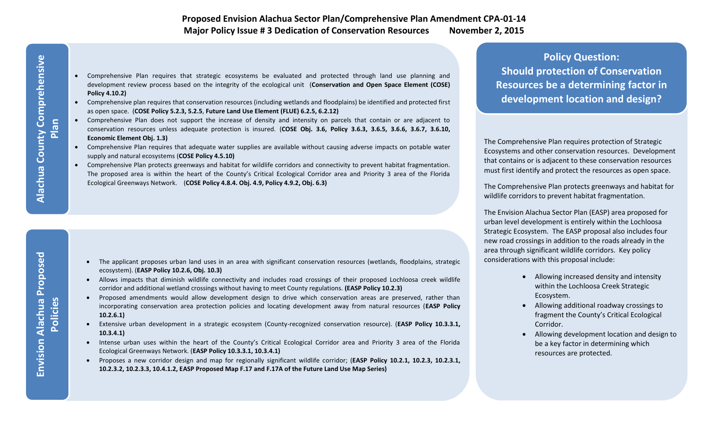- Comprehensive Plan requires that strategic ecosystems be evaluated and protected through land use planning and development review process based on the integrity of the ecological unit (**Conservation and Open Space Element (COSE) Policy 4.10.2)**
- Comprehensive plan requires that conservation resources (including wetlands and floodplains) be identified and protected first as open space. (**COSE Policy 5.2.3, 5.2.5**, **Future Land Use Element (FLUE) 6.2.5, 6.2.12)**
- Comprehensive Plan does not support the increase of density and intensity on parcels that contain or are adjacent to conservation resources unless adequate protection is insured. (**COSE Obj. 3.6, Policy 3.6.3, 3.6.5, 3.6.6, 3.6.7, 3.6.10, Economic Element Obj. 1.3)**
- Comprehensive Plan requires that adequate water supplies are available without causing adverse impacts on potable water supply and natural ecosystems (**COSE Policy 4.5.10)**
- Comprehensive Plan protects greenways and habitat for wildlife corridors and connectivity to prevent habitat fragmentation. The proposed area is within the heart of the County's Critical Ecological Corridor area and Priority 3 area of the Florida Ecological Greenways Network. (**COSE Policy 4.8.4. Obj. 4.9, Policy 4.9.2, Obj. 6.3)**

- The applicant proposes urban land uses in an area with significant conservation resources (wetlands, floodplains, strategic ecosystem). (**EASP Policy 10.2.6, Obj. 10.3)**
- Allows impacts that diminish wildlife connectivity and includes road crossings of their proposed Lochloosa creek wildlife corridor and additional wetland crossings without having to meet County regulations. **(EASP Policy 10.2.3)**
- Proposed amendments would allow development design to drive which conservation areas are preserved, rather than incorporating conservation area protection policies and locating development away from natural resources (**EASP Policy 10.2.6.1)**
- Extensive urban development in a strategic ecosystem (County-recognized conservation resource). (**EASP Policy 10.3.3.1, 10.3.4.1)**
- Intense urban uses within the heart of the County's Critical Ecological Corridor area and Priority 3 area of the Florida Ecological Greenways Network. (**EASP Policy 10.3.3.1, 10.3.4.1)**
- Proposes a new corridor design and map for regionally significant wildlife corridor; (**EASP Policy 10.2.1, 10.2.3, 10.2.3.1, 10.2.3.2, 10.2.3.3, 10.4.1.2, EASP Proposed Map F.17 and F.17A of the Future Land Use Map Series)**

**Policy Question: Should protection of Conservation Resources be a determining factor in development location and design?**

The Comprehensive Plan requires protection of Strategic Ecosystems and other conservation resources. Development that contains or is adjacent to these conservation resources must first identify and protect the resources as open space.

The Comprehensive Plan protects greenways and habitat for wildlife corridors to prevent habitat fragmentation.

The Envision Alachua Sector Plan (EASP) area proposed for urban level development is entirely within the Lochloosa Strategic Ecosystem. The EASP proposal also includes four new road crossings in addition to the roads already in the area through significant wildlife corridors. Key policy considerations with this proposal include:

- Allowing increased density and intensity within the Lochloosa Creek Strategic Ecosystem.
- Allowing additional roadway crossings to fragment the County's Critical Ecological Corridor.
- Allowing development location and design to be a key factor in determining which resources are protected.